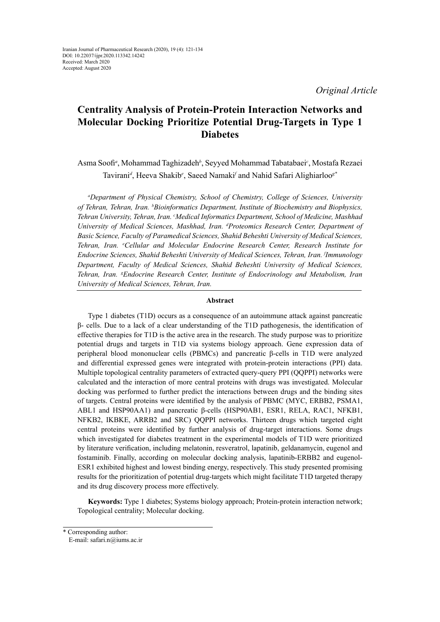*Original Article*

# **Centrality Analysis of Protein-Protein Interaction Networks and Molecular Docking Prioritize Potential Drug-Targets in Type 1 Diabetes**

Asma Soofi*<sup>a</sup>* , Mohammad Taghizadeh*<sup>b</sup>* , Seyyed Mohammad Tabatabaei*<sup>c</sup>* , Mostafa Rezaei Tavirani*<sup>d</sup>* , Heeva Shakib*<sup>e</sup>* , Saeed Namaki*<sup>f</sup>* and Nahid Safari Alighiarloo*g\**

*a Department of Physical Chemistry, School of Chemistry, College of Sciences, University*  of Tehran, Tehran, Iran. <sup>*b*</sup>Bioinformatics Department, Institute of Biochemistry and Biophysics, *Tehran University, Tehran, Iran. c Medical Informatics Department, School of Medicine, Mashhad University of Medical Sciences, Mashhad, Iran. d Proteomics Research Center, Department of Basic Science, Faculty of Paramedical Sciences, Shahid Beheshti University of Medical Sciences, Tehran, Iran. e Cellular and Molecular Endocrine Research Center, Research Institute for Endocrine Sciences, Shahid Beheshti University of Medical Sciences, Tehran, Iran. f Immunology Department, Faculty of Medical Sciences, Shahid Beheshti University of Medical Sciences,*  Tehran, Iran. <sup>*g*</sup>Endocrine Research Center, Institute of Endocrinology and Metabolism, Iran *University of Medical Sciences, Tehran, Iran.*

#### **Abstract**

Type 1 diabetes (T1D) occurs as a consequence of an autoimmune attack against pancreatic β- cells. Due to a lack of a clear understanding of the T1D pathogenesis, the identification of effective therapies for T1D is the active area in the research. The study purpose was to prioritize potential drugs and targets in T1D via systems biology approach. Gene expression data of peripheral blood mononuclear cells (PBMCs) and pancreatic β-cells in T1D were analyzed and differential expressed genes were integrated with protein-protein interactions (PPI) data. Multiple topological centrality parameters of extracted query-query PPI (QQPPI) networks were calculated and the interaction of more central proteins with drugs was investigated. Molecular docking was performed to further predict the interactions between drugs and the binding sites of targets. Central proteins were identified by the analysis of PBMC (MYC, ERBB2, PSMA1, ABL1 and HSP90AA1) and pancreatic β-cells (HSP90AB1, ESR1, RELA, RAC1, NFKB1, NFKB2, IKBKE, ARRB2 and SRC) QQPPI networks. Thirteen drugs which targeted eight central proteins were identified by further analysis of drug-target interactions. Some drugs which investigated for diabetes treatment in the experimental models of T1D were prioritized by literature verification, including melatonin, resveratrol, lapatinib, geldanamycin, eugenol and fostaminib. Finally, according on molecular docking analysis, lapatinib-ERBB2 and eugenol-ESR1 exhibited highest and lowest binding energy, respectively. This study presented promising results for the prioritization of potential drug-targets which might facilitate T1D targeted therapy and its drug discovery process more effectively.

**Keywords:** Type 1 diabetes; Systems biology approach; Protein-protein interaction network; Topological centrality; Molecular docking.

<sup>\*</sup> Corresponding author:

E-mail: safari.n@iums.ac.ir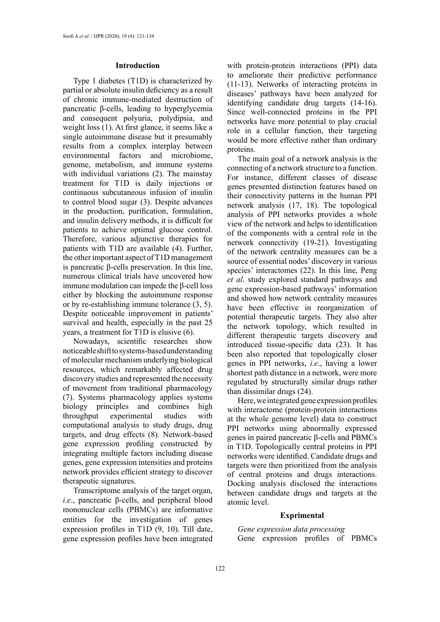#### **Introduction**

Type 1 diabetes (T1D) is characterized by partial or absolute insulin deficiency as a result of chronic immune-mediated destruction of pancreatic β-cells, leading to hyperglycemia and consequent polyuria, polydipsia, and weight loss (1). At first glance, it seems like a single autoimmune disease but it presumably results from a complex interplay between environmental factors and microbiome, genome, metabolism, and immune systems with individual variations (2). The mainstay treatment for T1D is daily injections or continuous subcutaneous infusion of insulin to control blood sugar (3). Despite advances in the production, purification, formulation, and insulin delivery methods, it is difficult for patients to achieve optimal glucose control. Therefore, various adjunctive therapies for patients with T1D are available (4). Further, the other important aspect of T1D management is pancreatic β-cells preservation. In this line, numerous clinical trials have uncovered how immune modulation can impede the β-cell loss either by blocking the autoimmune response or by re-establishing immune tolerance (3, 5). Despite noticeable improvement in patients' survival and health, especially in the past 25 years, a treatment for T1D is elusive (6).

Nowadays, scientific researches show noticeable shift to systems-based understanding of molecular mechanism underlying biological resources, which remarkably affected drug discovery studies and represented the necessity of movement from traditional pharmacology (7). Systems pharmacology applies systems biology principles and combines high throughput experimental studies with computational analysis to study drugs, drug targets, and drug effects (8). Network-based gene expression profiling constructed by integrating multiple factors including disease genes, gene expression intensities and proteins network provides efficient strategy to discover therapeutic signatures.

Transcriptome analysis of the target organ, *i.e*., pancreatic β-cells, and peripheral blood mononuclear cells (PBMCs) are informative entities for the investigation of genes expression profiles in T1D (9, 10). Till date, gene expression profiles have been integrated

with protein-protein interactions (PPI) data to ameliorate their predictive performance (11-13). Networks of interacting proteins in diseases' pathways have been analyzed for identifying candidate drug targets (14-16). Since well-connected proteins in the PPI networks have more potential to play crucial role in a cellular function, their targeting would be more effective rather than ordinary proteins.

The main goal of a network analysis is the connecting of a network structure to a function. For instance, different classes of disease genes presented distinction features based on their connectivity patterns in the human PPI network analysis (17, 18). The topological analysis of PPI networks provides a whole view of the network and helps to identification of the components with a central role in the network connectivity (19-21). Investigating of the network centrality measures can be a source of essential nodes' discovery in various species' interactomes (22). In this line, Peng *et al*. study explored standard pathways and gene expression-based pathways' information and showed how network centrality measures have been effective in reorganization of potential therapeutic targets. They also alter the network topology, which resulted in different therapeutic targets discovery and introduced tissue-specific data (23). It has been also reported that topologically closer genes in PPI networks, *i.e*., having a lower shortest path distance in a network, were more regulated by structurally similar drugs rather than dissimilar drugs (24).

Here, we integrated gene expression profiles with interactome (protein-protein interactions at the whole genome level) data to construct PPI networks using abnormally expressed genes in paired pancreatic β-cells and PBMCs in T1D. Topologically central proteins in PPI networks were identified. Candidate drugs and targets were then prioritized from the analysis of central proteins and drugs interactions. Docking analysis disclosed the interactions between candidate drugs and targets at the atomic level.

#### **Exprimental**

*Gene expression data processing* Gene expression profiles of PBMCs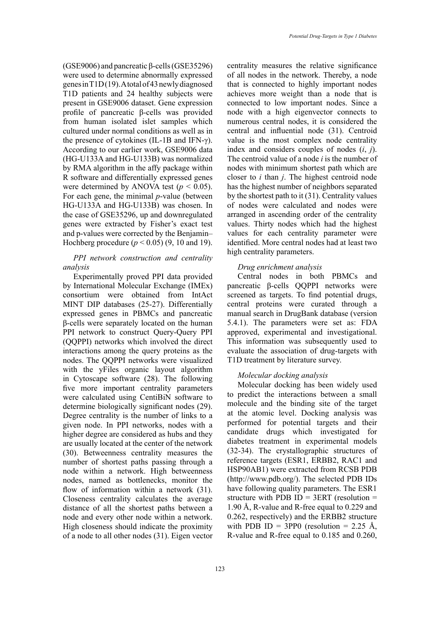(GSE9006) and pancreatic β-cells (GSE35296) were used to determine abnormally expressed genes in T1D (19). A total of 43 newly diagnosed T1D patients and 24 healthy subjects were present in GSE9006 dataset. Gene expression profile of pancreatic β-cells was provided from human isolated islet samples which cultured under normal conditions as well as in the presence of cytokines (IL-1B and IFN-γ). According to our earlier work, GSE9006 data (HG-U133A and HG-U133B) was normalized by RMA algorithm in the affy package within R software and differentially expressed genes were determined by ANOVA test ( $p < 0.05$ ). For each gene, the minimal *p*-value (between HG-U133A and HG-U133B) was chosen. In the case of GSE35296, up and downregulated genes were extracted by Fisher's exact test and p-values were corrected by the Benjamin– Hochberg procedure (*p* < 0.05) (9, 10 and 19).

# *PPI network construction and centrality analysis*

Experimentally proved PPI data provided by International Molecular Exchange (IMEx) consortium were obtained from IntAct MINT DIP databases (25-27). Differentially expressed genes in PBMCs and pancreatic β-cells were separately located on the human PPI network to construct Query-Query PPI (QQPPI) networks which involved the direct interactions among the query proteins as the nodes. The QQPPI networks were visualized with the yFiles organic layout algorithm in Cytoscape software (28). The following five more important centrality parameters were calculated using CentiBiN software to determine biologically significant nodes (29). Degree centrality is the number of links to a given node. In PPI networks, nodes with a higher degree are considered as hubs and they are usually located at the center of the network (30). Betweenness centrality measures the number of shortest paths passing through a node within a network. High betweenness nodes, named as bottlenecks, monitor the flow of information within a network (31). Closeness centrality calculates the average distance of all the shortest paths between a node and every other node within a network. High closeness should indicate the proximity of a node to all other nodes (31). Eigen vector

centrality measures the relative significance of all nodes in the network. Thereby, a node that is connected to highly important nodes achieves more weight than a node that is connected to low important nodes. Since a node with a high eigenvector connects to numerous central nodes, it is considered the central and influential node (31). Centroid value is the most complex node centrality index and considers couples of nodes (*i*, *j*). The centroid value of a node *i* is the number of nodes with minimum shortest path which are closer to *i* than *j*. The highest centroid node has the highest number of neighbors separated by the shortest path to it (31). Centrality values of nodes were calculated and nodes were arranged in ascending order of the centrality values. Thirty nodes which had the highest values for each centrality parameter were identified. More central nodes had at least two high centrality parameters.

## *Drug enrichment analysis*

Central nodes in both PBMCs and pancreatic β-cells QQPPI networks were screened as targets. To find potential drugs, central proteins were curated through a manual search in DrugBank database (version 5.4.1). The parameters were set as: FDA approved, experimental and investigational. This information was subsequently used to evaluate the association of drug-targets with T1D treatment by literature survey.

### *Molecular docking analysis*

Molecular docking has been widely used to predict the interactions between a small molecule and the binding site of the target at the atomic level. Docking analysis was performed for potential targets and their candidate drugs which investigated for diabetes treatment in experimental models (32-34). The crystallographic structures of reference targets (ESR1, ERBB2, RAC1 and HSP90AB1) were extracted from RCSB PDB [\(http://www.pdb.org/](http://www.pdb.org/)). The selected PDB IDs have following quality parameters. The ESR1 structure with PDB ID =  $3ERT$  (resolution = 1.90 Å, R-value and R-free equal to 0.229 and 0.262, respectively) and the ERBB2 structure with PDB ID = 3PP0 (resolution = 2.25 Å, R-value and R-free equal to 0.185 and 0.260,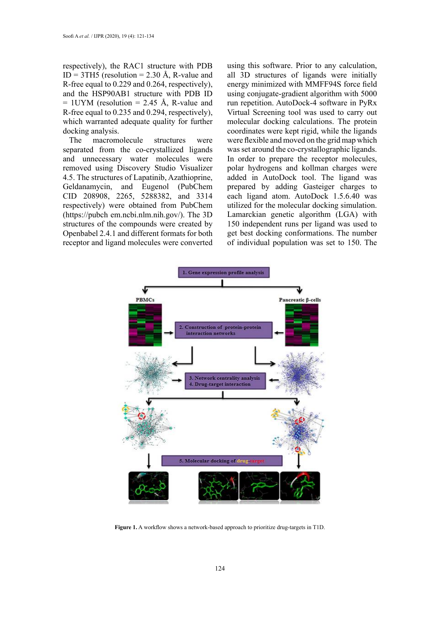respectively), the RAC1 structure with PDB  $ID = 3TH5$  (resolution = 2.30 Å, R-value and R-free equal to 0.229 and 0.264, respectively), and the HSP90AB1 structure with PDB ID  $= 1$ UYM (resolution  $= 2.45$  Å, R-value and R-free equal to 0.235 and 0.294, respectively), which warranted adequate quality for further docking analysis.

The macromolecule structures were separated from the co-crystallized ligands and unnecessary water molecules were removed using Discovery Studio Visualizer 4.5. The structures of Lapatinib, Azathioprine, Geldanamycin, and Eugenol (PubChem CID 208908, 2265, 5288382, and 3314 respectively) were obtained from PubChem (https://pubch em.ncbi.nlm.nih.gov/). The 3D structures of the compounds were created by Openbabel 2.4.1 and different formats for both receptor and ligand molecules were converted using this software. Prior to any calculation, all 3D structures of ligands were initially energy minimized with MMFF94S force field using conjugate-gradient algorithm with 5000 run repetition. AutoDock-4 software in PyRx Virtual Screening tool was used to carry out molecular docking calculations. The protein coordinates were kept rigid, while the ligands were flexible and moved on the grid map which was set around the co-crystallographic ligands. In order to prepare the receptor molecules, polar hydrogens and kollman charges were added in AutoDock tool. The ligand was prepared by adding Gasteiger charges to each ligand atom. AutoDock 1.5.6.40 was utilized for the molecular docking simulation. Lamarckian genetic algorithm (LGA) with 150 independent runs per ligand was used to get best docking conformations. The number of individual population was set to 150. The



**Figure 1.** A workflow shows a network-based approach to prioritize drug-targets in T1D. **Figure 1.** A workflow shows a network-based approach to prioritize drug-targets in T1D.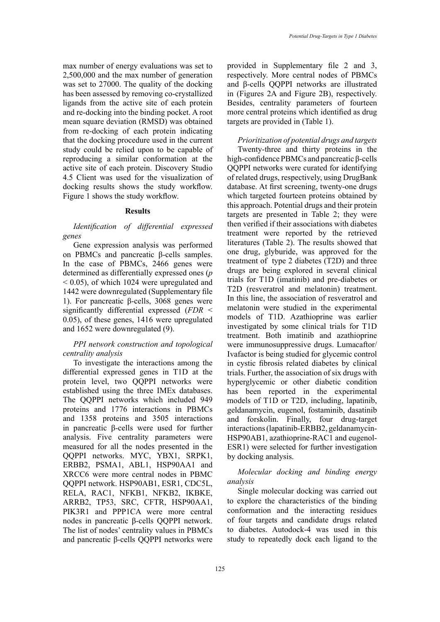max number of energy evaluations was set to 2,500,000 and the max number of generation was set to 27000. The quality of the docking has been assessed by removing co-crystallized ligands from the active site of each protein and re-docking into the binding pocket. A root mean square deviation (RMSD) was obtained from re-docking of each protein indicating that the docking procedure used in the current study could be relied upon to be capable of reproducing a similar conformation at the active site of each protein. Discovery Studio 4.5 Client was used for the visualization of docking results shows the study workflow. Figure 1 shows the study workflow.

### **Results**

*Identification of differential expressed genes*

Gene expression analysis was performed on PBMCs and pancreatic β-cells samples. In the case of PBMCs, 2466 genes were determined as differentially expressed ones (*p* < 0.05), of which 1024 were upregulated and 1442 were downregulated (Supplementary file 1). For pancreatic β-cells, 3068 genes were significantly differential expressed (*FDR* < 0.05), of these genes, 1416 were upregulated and 1652 were downregulated (9).

### *PPI network construction and topological centrality analysis*

To investigate the interactions among the differential expressed genes in T1D at the protein level, two QQPPI networks were established using the three IMEx databases. The QQPPI networks which included 949 proteins and 1776 interactions in PBMCs and 1358 proteins and 3505 interactions in pancreatic β-cells were used for further analysis. Five centrality parameters were measured for all the nodes presented in the QQPPI networks. MYC, YBX1, SRPK1, ERBB2, PSMA1, ABL1, HSP90AA1 and XRCC6 were more central nodes in PBMC QQPPI network. HSP90AB1, ESR1, CDC5L, RELA, RAC1, NFKB1, NFKB2, IKBKE, ARRB2, TP53, SRC, CFTR, HSP90AA1, PIK3R1 and PPP1CA were more central nodes in pancreatic β-cells QQPPI network. The list of nodes' centrality values in PBMCs and pancreatic β-cells QQPPI networks were

provided in Supplementary file 2 and 3, respectively. More central nodes of PBMCs and β-cells QQPPI networks are illustrated in (Figures 2A and Figure 2B), respectively. Besides, centrality parameters of fourteen more central proteins which identified as drug targets are provided in (Table 1).

*Prioritization of potential drugs and targets* Twenty-three and thirty proteins in the high-confidence PBMCs and pancreatic β-cells QQPPI networks were curated for identifying of related drugs, respectively, using DrugBank database. At first screening, twenty-one drugs which targeted fourteen proteins obtained by this approach. Potential drugs and their protein targets are presented in Table 2; they were then verified if their associations with diabetes treatment were reported by the retrieved literatures (Table 2). The results showed that one drug, glyburide, was approved for the treatment of type 2 diabetes (T2D) and three drugs are being explored in several clinical trials for T1D (imatinib) and pre-diabetes or T2D (resveratrol and melatonin) treatment. In this line, the association of resveratrol and melatonin were studied in the experimental models of T1D. Azathioprine was earlier investigated by some clinical trials for T1D treatment. Both imatinib and azathioprine were immunosuppressive drugs. Lumacaftor/ Ivafactor is being studied for glycemic control in cystic fibrosis related diabetes by clinical trials. Further, the association of six drugs with hyperglycemic or other diabetic condition has been reported in the experimental models of T1D or T2D, including, lapatinib, geldanamycin, eugenol, fostaminib, dasatinib and forskolin. Finally, four drug-target interactions (lapatinib-ERBB2, geldanamycin-HSP90AB1, azathioprine-RAC1 and eugenol-ESR1) were selected for further investigation by docking analysis.

# *Molecular docking and binding energy analysis*

Single molecular docking was carried out to explore the characteristics of the binding conformation and the interacting residues of four targets and candidate drugs related to diabetes. Autodock-4 was used in this study to repeatedly dock each ligand to the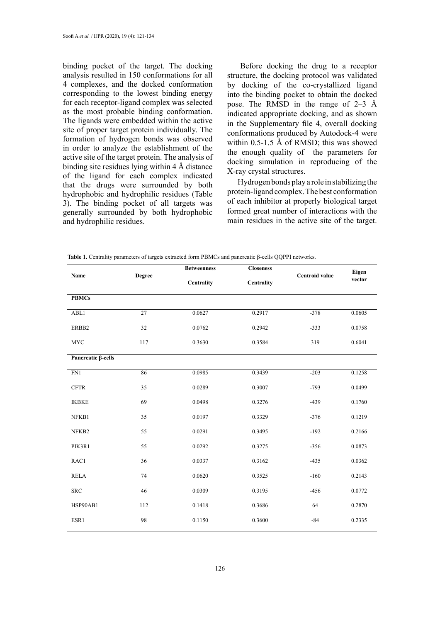binding pocket of the target. The docking analysis resulted in 150 conformations for all 4 complexes, and the docked conformation corresponding to the lowest binding energy for each receptor-ligand complex was selected as the most probable binding conformation. The ligands were embedded within the active site of proper target protein individually. The formation of hydrogen bonds was observed in order to analyze the establishment of the active site of the target protein. The analysis of binding site residues lying within 4 Å distance of the ligand for each complex indicated that the drugs were surrounded by both hydrophobic and hydrophilic residues (Table 3). The binding pocket of all targets was generally surrounded by both hydrophobic and hydrophilic residues.

Before docking the drug to a receptor structure, the docking protocol was validated by docking of the co-crystallized ligand into the binding pocket to obtain the docked pose. The RMSD in the range of 2–3 Å indicated appropriate docking, and as shown in the Supplementary file 4, overall docking conformations produced by Autodock-4 were within 0.5-1.5 Å of RMSD; this was showed the enough quality of the parameters for docking simulation in reproducing of the X-ray crystal structures.

Hydrogen bonds play a role in stabilizing the protein-ligand complex. The best conformation of each inhibitor at properly biological target formed great number of interactions with the main residues in the active site of the target.

|  |  | Table 1. Centrality parameters of targets extracted form PBMCs and pancreatic $\beta$ -cells QQPPI networks. |  |  |  |  |
|--|--|--------------------------------------------------------------------------------------------------------------|--|--|--|--|
|--|--|--------------------------------------------------------------------------------------------------------------|--|--|--|--|

|                    |               | <b>Betweenness</b> | <b>Closeness</b> |                | Eigen  |
|--------------------|---------------|--------------------|------------------|----------------|--------|
| Name               | <b>Degree</b> | Centrality         | Centrality       | Centroid value | vector |
| <b>PBMCs</b>       |               |                    |                  |                |        |
|                    |               |                    |                  |                |        |
| ABL1               | 27            | 0.0627             | 0.2917           | $-378$         | 0.0605 |
| ERBB2              | 32            | 0.0762             | 0.2942           | $-333$         | 0.0758 |
| <b>MYC</b>         | 117           | 0.3630             | 0.3584           | 319            | 0.6041 |
| Pancreatic β-cells |               |                    |                  |                |        |
|                    |               |                    |                  |                |        |
| FN1                | 86            | 0.0985             | 0.3439           | $-203$         | 0.1258 |
| <b>CFTR</b>        | 35            | 0.0289             | 0.3007           | $-793$         | 0.0499 |
| <b>IKBKE</b>       | 69            | 0.0498             | 0.3276           | $-439$         | 0.1760 |
| NFKB1              | 35            | 0.0197             | 0.3329           | $-376$         | 0.1219 |
| NFKB2              | 55            | 0.0291             | 0.3495           | $-192$         | 0.2166 |
| PIK3R1             | 55            | 0.0292             | 0.3275           | $-356$         | 0.0873 |
| RAC1               | 36            | 0.0337             | 0.3162           | $-435$         | 0.0362 |
| <b>RELA</b>        | 74            | 0.0620             | 0.3525           | $-160$         | 0.2143 |
| <b>SRC</b>         | 46            | 0.0309             | 0.3195           | $-456$         | 0.0772 |
| HSP90AB1           | 112           | 0.1418             | 0.3686           | 64             | 0.2870 |
| ESR1               | 98            | 0.1150             | 0.3600           | $-84$          | 0.2335 |
|                    |               |                    |                  |                |        |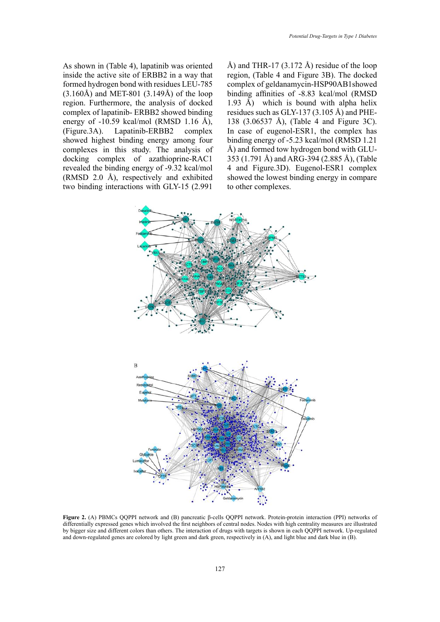As shown in (Table 4), lapatinib was oriented inside the active site of ERBB2 in a way that formed hydrogen bond with residues LEU-785  $(3.160\text{\AA})$  and MET-801  $(3.149\text{\AA})$  of the loop region. Furthermore, the analysis of docked complex of lapatinib- ERBB2 showed binding energy of  $-10.59$  kcal/mol (RMSD 1.16 Å), (Figure.3A). Lapatinib-ERBB2 complex showed highest binding energy among four complexes in this study. The analysis of docking complex of azathioprine-RAC1 revealed the binding energy of -9.32 kcal/mol (RMSD 2.0 Å), respectively and exhibited two binding interactions with GLY-15 (2.991

Å) and THR-17 (3.172 Å) residue of the loop region, (Table 4 and Figure 3B). The docked complex of geldanamycin-HSP90AB1showed binding affinities of -8.83 kcal/mol (RMSD 1.93 Å) which is bound with alpha helix residues such as GLY-137 (3.105 Å) and PHE-138 (3.06537 Å), (Table 4 and Figure 3C). In case of eugenol-ESR1, the complex has binding energy of -5.23 kcal/mol (RMSD 1.21 Å) and formed tow hydrogen bond with GLU-353 (1.791 Å) and ARG-394 (2.885 Å), (Table 4 and Figure.3D). Eugenol-ESR1 complex showed the lowest binding energy in compare to other complexes.



Figure 2. (A) PBMCs QQPPI network and (B) pancreatic  $\beta$ -cells QQPPI network. Protein-protein interaction (PPI) networks of differentially expressed genes which involved the first neighbors of central nodes. Nodes with high centrality measures are illustrated  $\frac{1}{\sqrt{N}}$  is the interaction of drugs with targets is shown in each  $\sqrt{N}$ . and down-regulated genes are colored by light green and dark green, respectively in (A), and light blue and dark blue in (B). by bigger size and different colors than others. The interaction of drugs with targets is shown in each QQPPI network. Up-regulated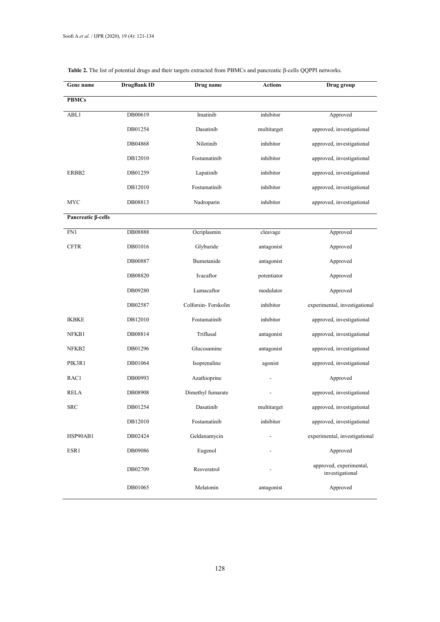| Gene name          | DrugBank ID | Drug name           | <b>Actions</b> | Drug group                                 |
|--------------------|-------------|---------------------|----------------|--------------------------------------------|
| <b>PBMCs</b>       |             |                     |                |                                            |
| ABL1               | DB00619     | Imatinib            | inhibitor      | Approved                                   |
|                    | DB01254     | Dasatinib           | multitarget    | approved, investigational                  |
|                    | DB04868     | Nilotinib           | inhibitor      | approved, investigational                  |
|                    | DB12010     | Fostamatinib        | inhibitor      | approved, investigational                  |
| ERBB2              | DB01259     | Lapatinib           | inhibitor      | approved, investigational                  |
|                    | DB12010     | Fostamatinib        | inhibitor      | approved, investigational                  |
| MYC                | DB08813     | Nadroparin          | inhibitor      | approved, investigational                  |
| Pancreatic β-cells |             |                     |                |                                            |
| FN1                | DB08888     | Ocriplasmin         | cleavage       | Approved                                   |
| <b>CFTR</b>        | DB01016     | Glyburide           | antagonist     | Approved                                   |
|                    | DB00887     | Bumetanide          | antagonist     | Approved                                   |
|                    | DB08820     | Ivacaftor           | potentiator    | Approved                                   |
|                    | DB09280     | Lumacaftor          | modulator      | Approved                                   |
|                    | DB02587     | Colforsin-Forskolin | inhibitor      | experimental, investigational              |
| <b>IKBKE</b>       | DB12010     | Fostamatinib        | inhibitor      | approved, investigational                  |
| NFKB1              | DB08814     | Triflusal           | antagonist     | approved, investigational                  |
| NFKB2              | DB01296     | Glucosamine         | antagonist     | approved, investigational                  |
| PIK3R1             | DB01064     | Isoprenaline        | agonist        | approved, investigational                  |
| RAC1               | DB00993     | Azathioprine        |                | Approved                                   |
| RELA               | DB08908     | Dimethyl fumarate   |                | approved, investigational                  |
| SRC                | DB01254     | Dasatinib           | multitarget    | approved, investigational                  |
|                    | DB12010     | Fostamatinib        | inhibitor      | approved, investigational                  |
| HSP90AB1           | DB02424     | Geldanamycin        |                | experimental, investigational              |
| ESR1               | DB09086     | Eugenol             |                | Approved                                   |
|                    | DB02709     | Resveratrol         |                | approved, experimental,<br>investigational |
|                    | DB01065     | Melatonin           | antagonist     | Approved                                   |

# **Table 2.** The list of potential drugs and their targets extracted from PBMCs and pancreatic β-cells QQPPI networks.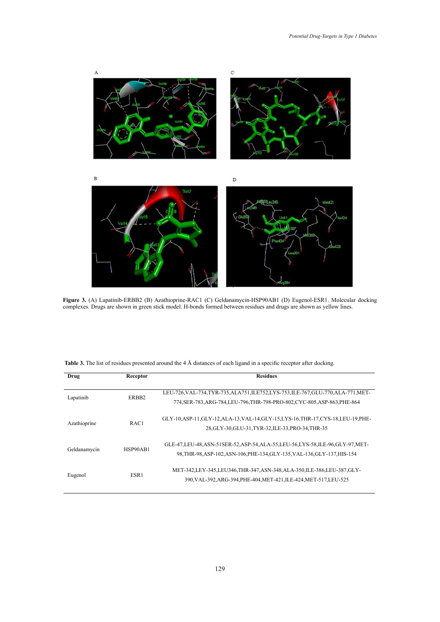

Figure 3. (A) Lapatinib-ERBB2 (B) Azathioprine-RAC1 (C) Geldanamycin-HSP90AB1 (D) Eugenol-ESR1. Molecular docking<br>complexes. Drugs are shown in green stick model. H-bonds formed between residues and drugs are shown as vell complexes. Drugs are shown in green stick model. H-bonds formed between residues and drugs are shown as yellow lines.

| Table 3. The list of residues presented around the 4 Å distances of each ligand in a specific receptor after docking. |  |  |
|-----------------------------------------------------------------------------------------------------------------------|--|--|
|                                                                                                                       |  |  |

| Drug         | Receptor          | <b>Residues</b>                                                                                                                                                   |
|--------------|-------------------|-------------------------------------------------------------------------------------------------------------------------------------------------------------------|
| Lapatinib    | ERBB <sub>2</sub> | LEU-726, VAL-734, TYR-735, ALA751, ILE752, LYS-753, ILE-767, GLU-770, ALA-771, MET-<br>774, SER-783, ARG-784, LEU-796, THR-798-PRO-802, CYC-805, ASP-863, PHE-864 |
| Azathioprine | RAC1              | GLY-10, ASP-11, GLY-12, ALA-13, VAL-14, GLY-15, LYS-16, THR-17, CYS-18, LEU-19, PHE-<br>28, GLY-30, GLU-31, TYR-32, ILE-33, PRO-34, THR-35                        |
| Geldanamycin | HSP90AB1          | GLE-47, LEU-48, ASN-51SER-52, ASP-54, ALA-55, LEU-56, LYS-58, ILE-96, GLY-97, MET-<br>98, THR-98, ASP-102, ASN-106, PHE-134, GLY-135, VAL-136, GLY-137, HIS-154   |
| Eugenol      | ESR1              | MET-342, LEY-345, LEU346, THR-347, ASN-348, ALA-350, ILE-386, LEU-387, GLY-<br>390, VAL-392, ARG-394, PHE-404, MET-421, ILE-424, MET-517, LEU-525                 |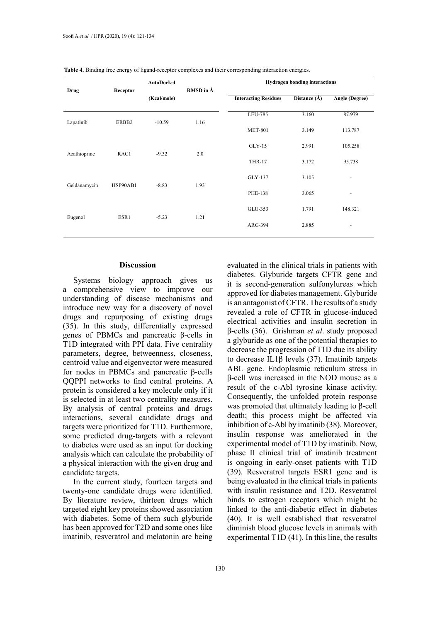|              | AutoDock-4 |             |           | <b>Hydrogen bonding interactions</b> |                  |                          |
|--------------|------------|-------------|-----------|--------------------------------------|------------------|--------------------------|
| Drug         | Receptor   |             | RMSD in Å |                                      |                  |                          |
|              |            | (Kcal/mole) |           | <b>Interacting Residues</b>          | Distance $(\AA)$ | Angle (Degree)           |
|              |            |             |           |                                      |                  |                          |
|              |            |             |           | LEU-785                              | 3.160            | 87.979                   |
| Lapatinib    | ERBB2      | $-10.59$    | 1.16      | <b>MET-801</b>                       | 3.149            | 113.787                  |
|              |            |             |           | $GLY-15$                             | 2.991            | 105.258                  |
| Azathioprine | RAC1       | $-9.32$     | 2.0       | <b>THR-17</b>                        | 3.172            | 95.738                   |
|              |            |             |           | GLY-137                              | 3.105            | ٠                        |
| Geldanamycin | HSP90AB1   | $-8.83$     | 1.93      | PHE-138                              | 3.065            | $\overline{\phantom{a}}$ |
| Eugenol      | ESR1       | $-5.23$     | 1.21      | GLU-353                              | 1.791            | 148.321                  |
|              |            |             |           | ARG-394                              | 2.885            | -                        |
|              |            |             |           |                                      |                  |                          |

**Table 4.** Binding free energy of ligand-receptor complexes and their corresponding interaction energies.

### **Discussion**

Systems biology approach gives us a comprehensive view to improve our understanding of disease mechanisms and introduce new way for a discovery of novel drugs and repurposing of existing drugs (35). In this study, differentially expressed genes of PBMCs and pancreatic β-cells in T1D integrated with PPI data. Five centrality parameters, degree, betweenness, closeness, centroid value and eigenvector were measured for nodes in PBMCs and pancreatic β-cells QQPPI networks to find central proteins. A protein is considered a key molecule only if it is selected in at least two centrality measures. By analysis of central proteins and drugs interactions, several candidate drugs and targets were prioritized for T1D. Furthermore, some predicted drug-targets with a relevant to diabetes were used as an input for docking analysis which can calculate the probability of a physical interaction with the given drug and candidate targets.

In the current study, fourteen targets and twenty-one candidate drugs were identified. By literature review, thirteen drugs which targeted eight key proteins showed association with diabetes. Some of them such glyburide has been approved for T2D and some ones like imatinib, resveratrol and melatonin are being

evaluated in the clinical trials in patients with diabetes. Glyburide targets CFTR gene and it is second-generation sulfonylureas which approved for diabetes management. Glyburide is an antagonist of CFTR. The results of a study revealed a role of CFTR in glucose-induced electrical activities and insulin secretion in β-cells (36). Grishman *et al*. study proposed a glyburide as one of the potential therapies to decrease the progression of T1D due its ability to decrease IL1β levels (37). Imatinib targets ABL gene. Endoplasmic reticulum stress in β-cell was increased in the NOD mouse as a result of the c-Abl tyrosine kinase activity. Consequently, the unfolded protein response was promoted that ultimately leading to β-cell death; this process might be affected via inhibition of c-Abl by imatinib (38). Moreover, insulin response was ameliorated in the experimental model of T1D by imatinib. Now, phase II clinical trial of imatinib treatment is ongoing in early-onset patients with T1D (39). Resveratrol targets ESR1 gene and is being evaluated in the clinical trials in patients with insulin resistance and T2D. Resveratrol binds to estrogen receptors which might be linked to the anti-diabetic effect in diabetes (40). It is well established that resveratrol diminish blood glucose levels in animals with experimental T1D (41). In this line, the results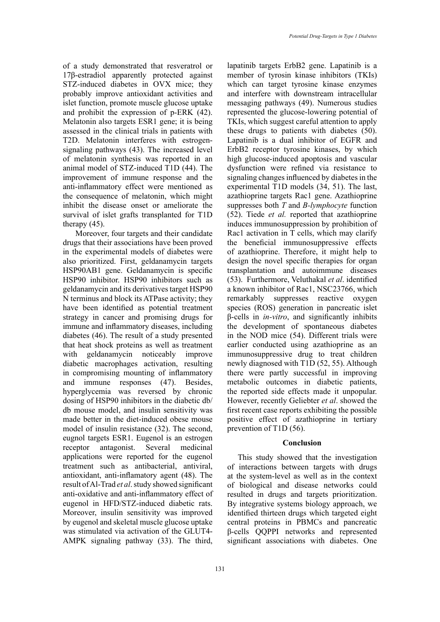of a study demonstrated that resveratrol or 17β-estradiol apparently protected against STZ-induced diabetes in OVX mice; they probably improve antioxidant activities and islet function, promote muscle glucose uptake and prohibit the expression of p-ERK (42). Melatonin also targets ESR1 gene; it is being assessed in the clinical trials in patients with T2D. Melatonin interferes with estrogensignaling pathways (43). The increased level of melatonin synthesis was reported in an animal model of STZ-induced T1D (44). The improvement of immune response and the anti-inflammatory effect were mentioned as the consequence of melatonin, which might inhibit the disease onset or ameliorate the survival of islet grafts transplanted for T1D therapy (45).

 Moreover, four targets and their candidate drugs that their associations have been proved in the experimental models of diabetes were also prioritized. First, geldanamycin targets HSP90AB1 gene. Geldanamycin is specific HSP90 inhibitor. HSP90 inhibitors such as geldanamycin and its derivatives target HSP90 N terminus and block its ATPase activity; they have been identified as potential treatment strategy in cancer and promising drugs for immune and inflammatory diseases, including diabetes (46). The result of a study presented that heat shock proteins as well as treatment with geldanamycin noticeably improve diabetic macrophages activation, resulting in compromising mounting of inflammatory and immune responses (47). Besides, hyperglycemia was reversed by chronic dosing of HSP90 inhibitors in the diabetic db/ db mouse model, and insulin sensitivity was made better in the diet-induced obese mouse model of insulin resistance (32). The second, eugnol targets ESR1. Eugenol is an estrogen receptor antagonist. Several medicinal applications were reported for the eugenol treatment such as antibacterial, antiviral, antioxidant, anti-inflamatory agent (48). The result of Al-Trad *et al*. study showed significant anti-oxidative and anti-inflammatory effect of eugenol in HFD/STZ-induced diabetic rats. Moreover, insulin sensitivity was improved by eugenol and skeletal muscle glucose uptake was stimulated via activation of the GLUT4- AMPK signaling pathway (33). The third,

131

lapatinib targets ErbB2 gene. Lapatinib is a member of tyrosin kinase inhibitors (TKIs) which can target tyrosine kinase enzymes and interfere with downstream intracellular messaging pathways (49). Numerous studies represented the glucose-lowering potential of TKIs, which suggest careful attention to apply these drugs to patients with diabetes (50). Lapatinib is a dual inhibitor of EGFR and ErbB2 receptor tyrosine kinases, by which high glucose-induced apoptosis and vascular dysfunction were refined via resistance to signaling changes influenced by diabetes in the experimental T1D models (34, 51). The last, azathioprine targets Rac1 gene. Azathioprine suppresses both *T* and *B-lymphocyte* function (52). Tiede *et al.* reported that azathioprine induces immunosuppression by prohibition of Rac1 activation in T cells, which may clarify the beneficial immunosuppressive effects of azathioprine. Therefore, it might help to design the novel specific therapies for organ transplantation and autoimmune diseases (53). Furthermore, Veluthakal *et al*. identified a known inhibitor of Rac1, NSC23766, which remarkably suppresses reactive oxygen species (ROS) generation in pancreatic islet β-cells in *in-vitro*, and significantly inhibits the development of spontaneous diabetes in the NOD mice (54). Different trials were earlier conducted using azathioprine as an immunosuppressive drug to treat children newly diagnosed with T1D (52, 55). Although there were partly successful in improving metabolic outcomes in diabetic patients, the reported side effects made it unpopular. However, recently Geliebter *et al*. showed the first recent case reports exhibiting the possible positive effect of azathioprine in tertiary prevention of T1D (56).

### **Conclusion**

This study showed that the investigation of interactions between targets with drugs at the system-level as well as in the context of biological and disease networks could resulted in drugs and targets prioritization. By integrative systems biology approach, we identified thirteen drugs which targeted eight central proteins in PBMCs and pancreatic β-cells QQPPI networks and represented significant associations with diabetes. One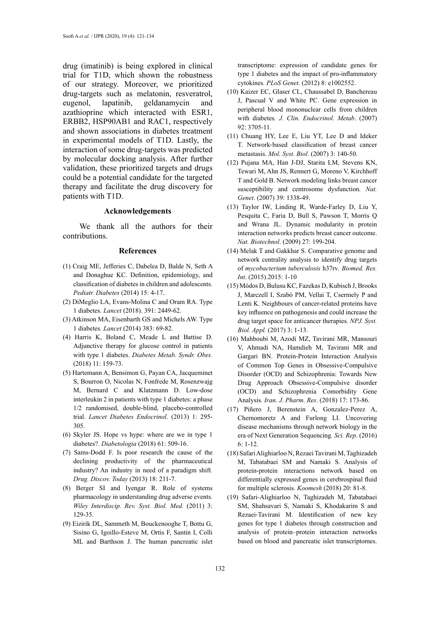drug (imatinib) is being explored in clinical trial for T1D, which shown the robustness of our strategy. Moreover, we prioritized drug-targets such as melatonin, resveratrol, eugenol, lapatinib, geldanamycin and azathioprine which interacted with ESR1, ERBB2, HSP90AB1 and RAC1, respectively and shown associations in diabetes treatment in experimental models of T1D. Lastly, the interaction of some drug-targets was predicted by molecular docking analysis. After further validation, these prioritized targets and drugs could be a potential candidate for the targeted therapy and facilitate the drug discovery for patients with T1D.

#### **Acknowledgements**

 We thank all the authors for their contributions.

#### **References**

- (1) Craig ME, Jefferies C, Dabelea D, Balde N, Seth A and Donaghue KC. Definition, epidemiology, and classification of diabetes in children and adolescents. *Pediatr. Diabetes* (2014) 15: 4-17.
- (2) DiMeglio LA, Evans-Molina C and Oram RA. Type 1 diabetes*. Lancet* (2018). 391: 2449-62.
- (3) Atkinson MA, Eisenbarth GS and Michels AW. Type 1 diabetes*. Lancet* (2014) 383: 69-82.
- (4) Harris K, Boland C, Meade L and Battise D. Adjunctive therapy for glucose control in patients with type 1 diabetes. *Diabetes Metab. Syndr. Obes.* (2018) 11: 159-73.
- (5) Hartemann A, Bensimon G, Payan CA, Jacqueminet S, Bourron O, Nicolas N, Fonfrede M, Rosenzwajg M, Bernard C and Klatzmann D. Low-dose interleukin 2 in patients with type 1 diabetes: a phase 1/2 randomised, double-blind, placebo-controlled trial. *Lancet Diabetes Endocrinol*. (2013) 1: 295- 305.
- (6) Skyler JS. Hope vs hype: where are we in type 1 diabetes?*. Diabetologia* (2018) 61: 509-16.
- (7) Sams-Dodd F. Is poor research the cause of the declining productivity of the pharmaceutical industry? An industry in need of a paradigm shift*. Drug. Discov. Today* (2013) 18: 211-7.
- (8) Berger SI and Iyengar R. Role of systems pharmacology in understanding drug adverse events. *Wiley Interdiscip. Rev. Syst. Biol. Med.* (2011) 3: 129-35.
- (9) Eizirik DL, Sammeth M, Bouckenooghe T, Bottu G, Sisino G, Igoillo-Esteve M, Ortis F, Santin I, Colli ML and Barthson J. The human pancreatic islet

transcriptome: expression of candidate genes for type 1 diabetes and the impact of pro-inflammatory cytokines*. PLoS Genet*. (2012) 8: e1002552.

- (10) Kaizer EC, Glaser CL, Chaussabel D, Banchereau J, Pascual V and White PC. Gene expression in peripheral blood mononuclear cells from children with diabetes*. J. Clin. Endocrinol. Metab*. (2007) 92: 3705-11.
- (11) Chuang HY, Lee E, Liu YT, Lee D and Ideker T. Network‐based classification of breast cancer metastasis. *Mol. Syst. Biol*. (2007) 3: 140-50.
- (12) Pujana MA, Han J-DJ, Starita LM, Stevens KN, Tewari M, Ahn JS, Rennert G, Moreno V, Kirchhoff T and Gold B. Network modeling links breast cancer susceptibility and centrosome dysfunction*. Nat. Genet*. (2007) 39: 1338-49.
- (13) Taylor IW, Linding R, Warde-Farley D, Liu Y, Pesquita C, Faria D, Bull S, Pawson T, Morris Q and Wrana JL. Dynam*i*c modularity in protein interaction networks predicts breast cancer outcome. *Nat. Biotechnol*. (2009) 27: 199-204.
- (14) Melak T and Gakkhar S. Comparative genome and network centrality analysis to identify drug targets of *mycobacterium tuberculosis* h37rv*. Biomed. Res. Int*. (2015).2015: 1-10
- (15) Módos D, Bulusu KC, Fazekas D, Kubisch J, Brooks J, Marczell I, Szabó PM, Vellai T, Csermely P and Lenti K. Neighbours of cancer-related proteins have key influence on pathogenesis and could increase the drug target space for anticancer therapies*. NPJ. Syst. Biol. Appl.* (2017) 3: 1-13.
- (16) Mahboubi M, Azodi MZ, Tavirani MR, Mansouri V, Ahmadi NA, Hamdieh M, Tavirani MR and Gargari BN. Protein-Protein Interaction Analysis of Common Top Genes in Obsessive-Compulsive Disorder (OCD) and Schizophrenia: Towards New Drug Approach Obsessive-Compulsive disorder (OCD) and Schizophrenia Comorbidity Gene Analysis*. Iran. J. Pharm. Res*. (2018) 17: 173-86.
- (17) Piñero J, Berenstein A, Gonzalez-Perez A, Chernomoretz A and Furlong LI. Uncovering disease mechanisms through network biology in the era of Next Generation Sequencing*. Sci. Rep*. (2016)  $6: 1-12.$
- (18) Safari Alighiarloo N, Rezaei Tavirani M, Taghizadeh M, Tabatabaei SM and Namaki S. Analysis of protein-protein interactions network based on differentially expressed genes in cerebrospinal fluid for multiple sclerosis*. Koomesh* (2018) 20: 81-8.
- (19) Safari‐Alighiarloo N, Taghizadeh M, Tabatabaei SM, Shahsavari S, Namaki S, Khodakarim S and Rezaei‐Tavirani M. Identification of new key genes for type 1 diabetes through construction and analysis of protein–protein interaction networks based on blood and pancreatic islet transcriptomes.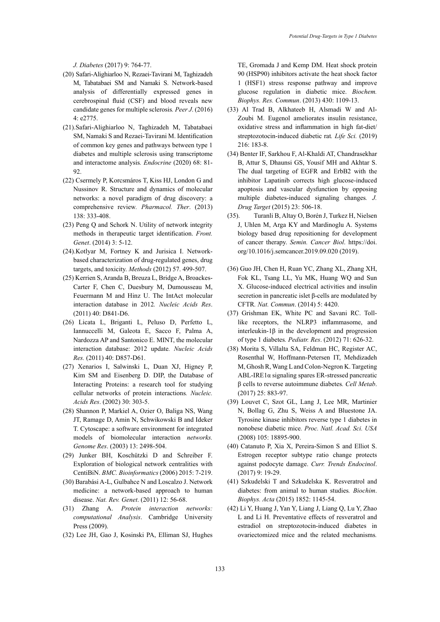*J. Diabetes* (2017) 9: 764-77.

- (20) Safari-Alighiarloo N, Rezaei-Tavirani M, Taghizadeh M, Tabatabaei SM and Namaki S. Network-based analysis of differentially expressed genes in cerebrospinal fluid (CSF) and blood reveals new candidate genes for multiple sclerosis*. Peer J*. (2016) 4: e2775.
- (21).Safari-Alighiarloo N, Taghizadeh M, Tabatabaei SM, Namaki S and Rezaei-Tavirani M. Identification of common key genes and pathways between type 1 diabetes and multiple sclerosis using transcriptome and interactome analysis*. Endocrine* (2020) 68: 81- 92.
- (22) Csermely P, Korcsmáros T, Kiss HJ, London G and Nussinov R. Structure and dynamics of molecular networks: a novel paradigm of drug discovery: a comprehensive review*. Pharmacol. Ther*. (2013) 138: 333-408.
- (23) Peng Q and Schork N. Utility of network integrity methods in therapeutic target identification. *Front. Genet*. (2014) 3: 5-12.
- (24).Kotlyar M, Fortney K and Jurisica I. Networkbased characterization of drug-regulated genes, drug targets, and toxicity. *Methods* (2012) 57. 499-507.
- (25) Kerrien S, Aranda B, Breuza L, Bridge A, Broackes-Carter F, Chen C, Duesbury M, Dumousseau M, Feuermann M and Hinz U. The IntAct molecular interaction database in 2012*. Nucleic Acids Res*. (2011) 40: D841-D6.
- (26) Licata L, Briganti L, Peluso D, Perfetto L, Iannuccelli M, Galeota E, Sacco F, Palma A, Nardozza AP and Santonico E. MINT, the molecular interaction database: 2012 update*. Nucleic Acids Res.* (2011) 40: D857-D61.
- (27) Xenarios I, Salwinski L, Duan XJ, Higney P, Kim SM and Eisenberg D. DIP, the Database of Interacting Proteins: a research tool for studying cellular networks of protein interactions*. Nucleic. Acids Res*. (2002) 30: 303-5.
- (28) Shannon P, Markiel A, Ozier O, Baliga NS, Wang JT, Ramage D, Amin N, Schwikowski B and Ideker T. Cytoscape: a software environment for integrated models of biomolecular interaction *networks. Genome Res*. (2003) 13: 2498-504.
- (29) Junker BH, Koschützki D and Schreiber F. Exploration of biological network centralities with CentiBiN. *BMC. Bioinformatics* (2006) 2015: 7-219.
- (30) Barabási A-L, Gulbahce N and Loscalzo J. Network medicine: a network-based approach to human disease. *Nat. Rev. Genet*. (2011) 12: 56-68.
- (31) Zhang A. *Protein interaction networks: computational Analysis*. Cambridge University Press (2009).
- (32) Lee JH, Gao J, Kosinski PA, Elliman SJ, Hughes

TE, Gromada J and Kemp DM. Heat shock protein 90 (HSP90) inhibitors activate the heat shock factor 1 (HSF1) stress response pathway and improve glucose regulation in diabetic mice. *Biochem. Biophys. Res. Commun*. (2013) 430: 1109-13.

- (33) Al Trad B, Alkhateeb H, Alsmadi W and Al-Zoubi M. Eugenol ameliorates insulin resistance, oxidative stress and inflammation in high fat-diet/ streptozotocin-induced diabetic rat*. Life Sci.* (2019) 216: 183-8.
- (34) Benter IF, Sarkhou F, Al-Khaldi AT, Chandrasekhar B, Attur S, Dhaunsi GS, Yousif MH and Akhtar S. The dual targeting of EGFR and ErbB2 with the inhibitor Lapatinib corrects high glucose-induced apoptosis and vascular dysfunction by opposing multiple diabetes-induced signaling changes*. J. Drug Target* (2015) 23: 506-18.
- (35). Turanli B, Altay O, Borén J, Turkez H, Nielsen J, Uhlen M, Arga KY and Mardinoglu A. Systems biology based drug repositioning for development of cancer therapy. *Semin. Cancer Biol*. [https://doi.](https://doi.org/10.1016/j.semcancer.2019.09.020) [org/10.1016/j.semcancer.2019.09.020](https://doi.org/10.1016/j.semcancer.2019.09.020) (2019).
- (36) Guo JH, Chen H, Ruan YC, Zhang XL, Zhang XH, Fok KL, Tsang LL, Yu MK, Huang WQ and Sun X. Glucose-induced electrical activities and insulin secretion in pancreatic islet β-cells are modulated by CFTR*. Nat. Commun*. (2014) 5: 4420.
- (37) Grishman EK, White PC and Savani RC. Tolllike receptors, the NLRP3 inflammasome, and interleukin-1β in the development and progression of type 1 diabetes*. Pediatr. Res*. (2012) 71: 626-32.
- (38) Morita S, Villalta SA, Feldman HC, Register AC, Rosenthal W, Hoffmann-Petersen IT, Mehdizadeh M, Ghosh R, Wang L and Colon-Negron K. Targeting  $ABL-IRE1\alpha$  signaling spares ER-stressed pancreatic β cells to reverse autoimmune diabetes*. Cell Metab*. (2017) 25: 883-97.
- (39) Louvet C, Szot GL, Lang J, Lee MR, Martinier N, Bollag G, Zhu S, Weiss A and Bluestone JA. Tyrosine kinase inhibitors reverse type 1 diabetes in nonobese diabetic mice*. Proc. Natl. Acad. Sci. USA* (2008) 105: 18895-900.
- (40) Catanuto P, Xia X, Pereira-Simon S and Elliot S. Estrogen receptor subtype ratio change protects against podocyte damage. *Curr. Trends Endocinol*. (2017) 9: 19-29.
- (41) Szkudelski T and Szkudelska K. Resveratrol and diabetes: from animal to human studies*. Biochim*. *Biophys. Acta* (2015) 1852: 1145-54.
- (42) Li Y, Huang J, Yan Y, Liang J, Liang Q, Lu Y, Zhao L and Li H. Preventative effects of resveratrol and estradiol on streptozotocin-induced diabetes in ovariectomized mice and the related mechanisms*.*